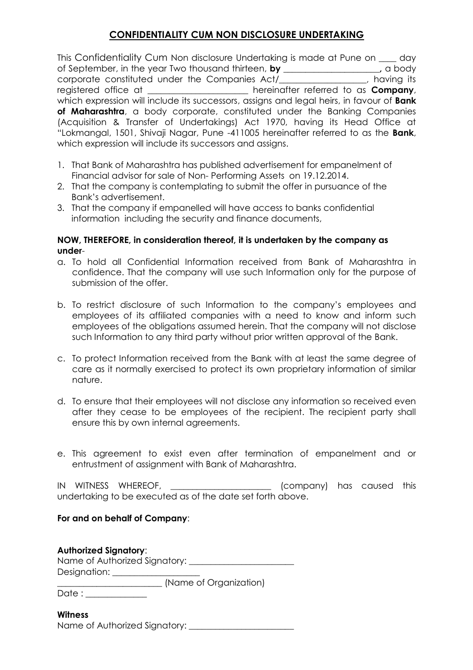## **CONFIDENTIALITY CUM NON DISCLOSURE UNDERTAKING**

This Confidentiality Cum Non disclosure Undertaking is made at Pune on \_\_\_\_ day of September, in the year Two thousand thirteen, **by \_\_\_\_\_\_\_\_\_\_\_\_\_\_\_\_\_\_\_\_\_\_,** a body corporate constituted under the Companies Act/\_\_\_\_\_\_\_\_\_\_\_\_\_\_\_\_\_\_\_\_, having its registered office at \_\_\_\_\_\_\_\_\_\_\_\_\_\_\_\_\_\_\_\_\_\_\_ hereinafter referred to as **Company**, which expression will include its successors, assigns and legal heirs, in favour of **Bank of Maharashtra**, a body corporate, constituted under the Banking Companies (Acquisition & Transfer of Undertakings) Act 1970, having its Head Office at "Lokmangal, 1501, Shivaji Nagar, Pune -411005 hereinafter referred to as the **Bank**, which expression will include its successors and assigns.

- 1. That Bank of Maharashtra has published advertisement for empanelment of Financial advisor for sale of Non- Performing Assets on 19.12.2014.
- 2. That the company is contemplating to submit the offer in pursuance of the Bank's advertisement.
- 3. That the company if empanelled will have access to banks confidential information including the security and finance documents,

## **NOW, THEREFORE, in consideration thereof, it is undertaken by the company as under**-

- a. To hold all Confidential Information received from Bank of Maharashtra in confidence. That the company will use such Information only for the purpose of submission of the offer.
- b. To restrict disclosure of such Information to the company's employees and employees of its affiliated companies with a need to know and inform such employees of the obligations assumed herein. That the company will not disclose such Information to any third party without prior written approval of the Bank.
- c. To protect Information received from the Bank with at least the same degree of care as it normally exercised to protect its own proprietary information of similar nature.
- d. To ensure that their employees will not disclose any information so received even after they cease to be employees of the recipient. The recipient party shall ensure this by own internal agreements.
- e. This agreement to exist even after termination of empanelment and or entrustment of assignment with Bank of Maharashtra.

IN WITNESS WHEREOF, \_\_\_\_\_\_\_\_\_\_\_\_\_\_\_\_\_\_\_\_\_ (company) has caused this undertaking to be executed as of the date set forth above.

## **For and on behalf of Company**:

| <b>Authorized Signatory:</b>  |  |
|-------------------------------|--|
| Name of Authorized Signatory: |  |
| Designation:                  |  |
| (Name of Organization)        |  |

Date : \_\_\_\_\_\_\_\_\_\_\_\_\_\_

## **Witness**

Name of Authorized Signatory: \_\_\_\_\_\_\_\_\_\_\_\_\_\_\_\_\_\_\_\_\_\_\_\_